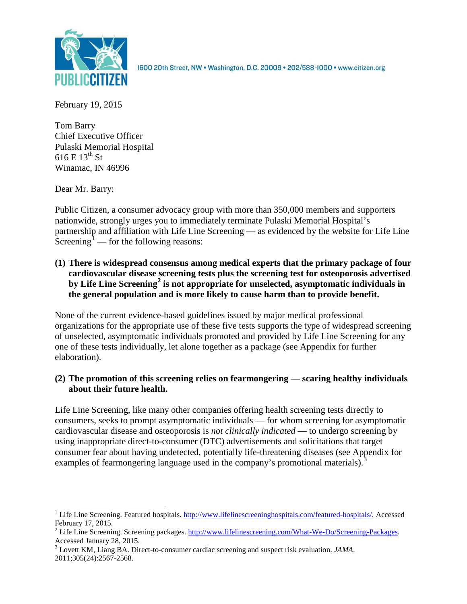

1600 20th Street, NW . Washington, D.C. 20009 . 202/588-1000 . www.citizen.org

February 19, 2015

Tom Barry Chief Executive Officer Pulaski Memorial Hospital 616 E  $13^{th}$  St Winamac, IN 46996

Dear Mr. Barry:

Public Citizen, a consumer advocacy group with more than 350,000 members and supporters nationwide, strongly urges you to immediately terminate Pulaski Memorial Hospital's partnership and affiliation with Life Line Screening — as evidenced by the website for Life Line Screening<sup>[1](#page-0-0)</sup> — for the following reasons:

**(1) There is widespread consensus among medical experts that the primary package of four cardiovascular disease screening tests plus the screening test for osteoporosis advertised by Life Line Screening[2](#page-0-1) is not appropriate for unselected, asymptomatic individuals in the general population and is more likely to cause harm than to provide benefit.**

None of the current evidence-based guidelines issued by major medical professional organizations for the appropriate use of these five tests supports the type of widespread screening of unselected, asymptomatic individuals promoted and provided by Life Line Screening for any one of these tests individually, let alone together as a package (see Appendix for further elaboration).

# **(2) The promotion of this screening relies on fearmongering — scaring healthy individuals about their future health.**

Life Line Screening, like many other companies offering health screening tests directly to consumers, seeks to prompt asymptomatic individuals — for whom screening for asymptomatic cardiovascular disease and osteoporosis is *not clinically indicated* — to undergo screening by using inappropriate direct-to-consumer (DTC) advertisements and solicitations that target consumer fear about having undetected, potentially life-threatening diseases (see Appendix for examples of fearmongering language used in the company's promotional materials).<sup>[3](#page-0-2)</sup>

<span id="page-0-0"></span><sup>&</sup>lt;sup>1</sup> Life Line Screening. Featured hospitals. [http://www.lifelinescreeninghospitals.com/featured-hospitals/.](http://www.lifelinescreeninghospitals.com/featured-hospitals/) Accessed

<span id="page-0-1"></span>February 17, 2015.<br><sup>2</sup> Life Line Screening. Screening packages. [http://www.lifelinescreening.com/What-We-Do/Screening-Packages.](http://www.lifelinescreening.com/What-We-Do/Screening-Packages)<br>Accessed January 28, 2015.

<span id="page-0-2"></span><sup>&</sup>lt;sup>3</sup> Lovett KM, Liang BA. Direct-to-consumer cardiac screening and suspect risk evaluation. *JAMA*. 2011;305(24):2567-2568.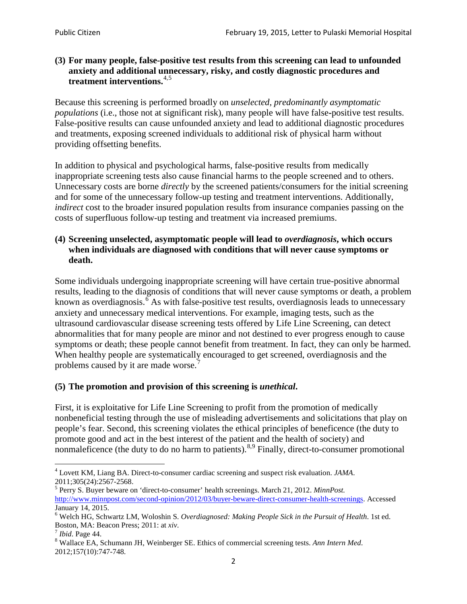## **(3) For many people, false-positive test results from this screening can lead to unfounded anxiety and additional unnecessary, risky, and costly diagnostic procedures and treatment interventions.**[4](#page-1-0),[5](#page-1-1)

Because this screening is performed broadly on *unselected, predominantly asymptomatic populations* (i.e., those not at significant risk), many people will have false**-**positive test results. False-positive results can cause unfounded anxiety and lead to additional diagnostic procedures and treatments, exposing screened individuals to additional risk of physical harm without providing offsetting benefits.

In addition to physical and psychological harms, false-positive results from medically inappropriate screening tests also cause financial harms to the people screened and to others. Unnecessary costs are borne *directly* by the screened patients/consumers for the initial screening and for some of the unnecessary follow-up testing and treatment interventions. Additionally, *indirect* cost to the broader insured population results from insurance companies passing on the costs of superfluous follow-up testing and treatment via increased premiums.

## **(4) Screening unselected, asymptomatic people will lead to** *overdiagnosis***, which occurs when individuals are diagnosed with conditions that will never cause symptoms or death.**

Some individuals undergoing inappropriate screening will have certain true-positive abnormal results, leading to the diagnosis of conditions that will never cause symptoms or death, a problem known as overdiagnosis.<sup>[6](#page-1-2)</sup> As with false-positive test results, overdiagnosis leads to unnecessary anxiety and unnecessary medical interventions. For example, imaging tests, such as the ultrasound cardiovascular disease screening tests offered by Life Line Screening, can detect abnormalities that for many people are minor and not destined to ever progress enough to cause symptoms or death; these people cannot benefit from treatment. In fact, they can only be harmed. When healthy people are systematically encouraged to get screened, overdiagnosis and the problems caused by it are made worse.<sup>[7](#page-1-3)</sup>

# **(5) The promotion and provision of this screening is** *unethical***.**

First, it is exploitative for Life Line Screening to profit from the promotion of medically nonbeneficial testing through the use of misleading advertisements and solicitations that play on people's fear. Second, this screening violates the ethical principles of beneficence (the duty to promote good and act in the best interest of the patient and the health of society) and nonmaleficence (the duty to do no harm to patients).<sup>[8](#page-1-4),[9](#page-1-5)</sup> Finally, direct-to-consumer promotional

<span id="page-1-4"></span>2012;157(10):747-748.

<span id="page-1-5"></span><span id="page-1-0"></span><sup>4</sup> Lovett KM, Liang BA. Direct-to-consumer cardiac screening and suspect risk evaluation. *JAMA*.

<span id="page-1-1"></span><sup>2011;305(24):2567-2568.</sup> <sup>5</sup> Perry S. Buyer beware on 'direct-to-consumer' health screenings. March 21, 2012. *MinnPost.*  [http://www.minnpost.com/second-opinion/2012/03/buyer-beware-direct-consumer-health-screenings.](http://www.minnpost.com/second-opinion/2012/03/buyer-beware-direct-consumer-health-screenings) Accessed January 14, 2015.

<span id="page-1-2"></span><sup>6</sup> Welch HG, Schwartz LM, Woloshin S. *Overdiagnosed: Making People Sick in the Pursuit of Health*. 1st ed. Boston, MA: Beacon Press; 2011: at *xiv*.<br><sup>7</sup> *Ibid*. Page 44.<br><sup>8</sup> Wallace EA, Schumann JH, Weinberger SE. Ethics of commercial screening tests. *Ann Intern Med*.

<span id="page-1-3"></span>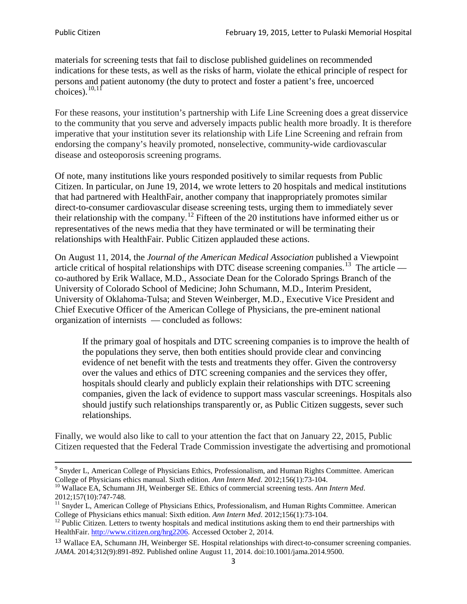materials for screening tests that fail to disclose published guidelines on recommended indications for these tests, as well as the risks of harm, violate the ethical principle of respect for persons and patient autonomy (the duty to protect and foster a patient's free, uncoerced choices). $\frac{10,11}{10,11}$  $\frac{10,11}{10,11}$  $\frac{10,11}{10,11}$  $\frac{10,11}{10,11}$ 

For these reasons, your institution's partnership with Life Line Screening does a great disservice to the community that you serve and adversely impacts public health more broadly. It is therefore imperative that your institution sever its relationship with Life Line Screening and refrain from endorsing the company's heavily promoted, nonselective, community**-**wide cardiovascular disease and osteoporosis screening programs.

Of note, many institutions like yours responded positively to similar requests from Public Citizen. In particular, on June 19, 2014, we wrote letters to 20 hospitals and medical institutions that had partnered with HealthFair, another company that inappropriately promotes similar direct-to-consumer cardiovascular disease screening tests, urging them to immediately sever their relationship with the company. [12](#page-2-2) Fifteen of the 20 institutions have informed either us or representatives of the news media that they have terminated or will be terminating their relationships with HealthFair. Public Citizen applauded these actions.

On August 11, 2014, the *Journal of the American Medical Association* published a Viewpoint article critical of hospital relationships with DTC disease screening companies.<sup>13</sup> The article co-authored by Erik Wallace, M.D., Associate Dean for the Colorado Springs Branch of the University of Colorado School of Medicine; John Schumann, M.D., Interim President, University of Oklahoma-Tulsa; and Steven Weinberger, M.D., Executive Vice President and Chief Executive Officer of the American College of Physicians, the pre**-**eminent national organization of internists — concluded as follows:

If the primary goal of hospitals and DTC screening companies is to improve the health of the populations they serve, then both entities should provide clear and convincing evidence of net benefit with the tests and treatments they offer. Given the controversy over the values and ethics of DTC screening companies and the services they offer, hospitals should clearly and publicly explain their relationships with DTC screening companies, given the lack of evidence to support mass vascular screenings. Hospitals also should justify such relationships transparently or, as Public Citizen suggests, sever such relationships.

Finally, we would also like to call to your attention the fact that on January 22, 2015, Public Citizen requested that the Federal Trade Commission investigate the advertising and promotional

<sup>&</sup>lt;sup>9</sup> Snyder L, American College of Physicians Ethics, Professionalism, and Human Rights Committee. American College of Physicians ethics manual. Sixth edition. Ann Intern Med. 2012;156(1):73-104.

<span id="page-2-0"></span><sup>&</sup>lt;sup>10</sup> Wallace EA, Schumann JH, Weinberger SE. Ethics of commercial screening tests. *Ann Intern Med*. 2012;157(10):747-748.

<span id="page-2-1"></span> $11$  Snyder L, American College of Physicians Ethics, Professionalism, and Human Rights Committee. American College of Physicians ethics manual: Sixth edition. *Ann Intern Med*. 2012;156(1):73-104.<br><sup>12</sup> Public Citizen. Letters to twenty hospitals and medical institutions asking them to end their partnerships with

<span id="page-2-2"></span>HealthFair. [http://www.citizen.org/hrg2206.](http://www.citizen.org/hrg2206) Accessed October 2, 2014.

<span id="page-2-3"></span><sup>13</sup> Wallace EA, Schumann JH, Weinberger SE. Hospital relationships with direct-to-consumer screening companies. *JAMA*. 2014;312(9):891-892. Published online August 11, 2014. doi:10.1001/jama.2014.9500.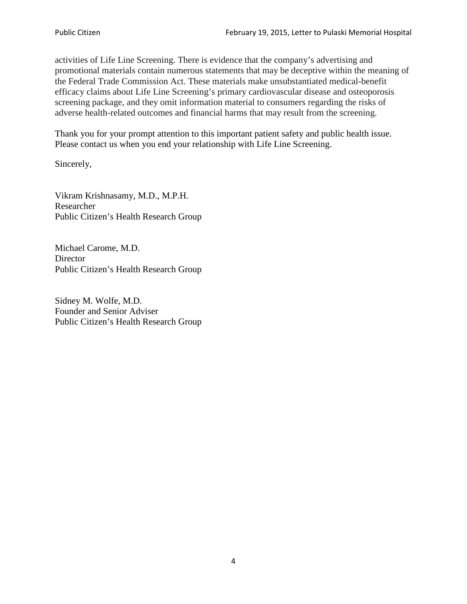activities of Life Line Screening. There is evidence that the company's advertising and promotional materials contain numerous statements that may be deceptive within the meaning of the Federal Trade Commission Act. These materials make unsubstantiated medical-benefit efficacy claims about Life Line Screening's primary cardiovascular disease and osteoporosis screening package, and they omit information material to consumers regarding the risks of adverse health-related outcomes and financial harms that may result from the screening.

Thank you for your prompt attention to this important patient safety and public health issue. Please contact us when you end your relationship with Life Line Screening.

Sincerely,

Vikram Krishnasamy, M.D., M.P.H. Researcher Public Citizen's Health Research Group

Michael Carome, M.D. **Director** Public Citizen's Health Research Group

Sidney M. Wolfe, M.D. Founder and Senior Adviser Public Citizen's Health Research Group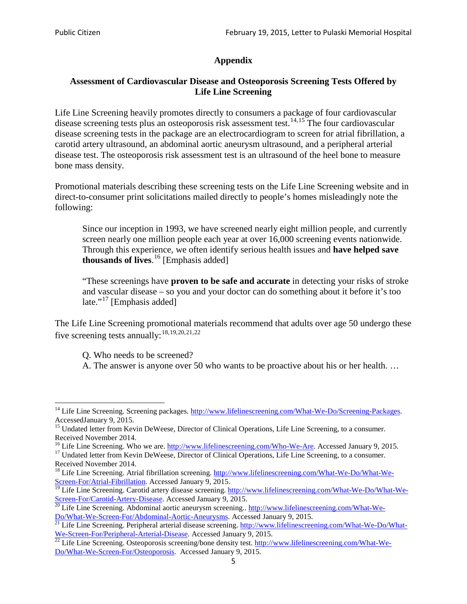# **Appendix**

# **Assessment of Cardiovascular Disease and Osteoporosis Screening Tests Offered by Life Line Screening**

Life Line Screening heavily promotes directly to consumers a package of four cardiovascular disease screening tests plus an osteoporosis risk assessment test.<sup>[14](#page-4-0),[15](#page-4-1)</sup> The four cardiovascular disease screening tests in the package are an electrocardiogram to screen for atrial fibrillation, a carotid artery ultrasound, an abdominal aortic aneurysm ultrasound, and a peripheral arterial disease test. The osteoporosis risk assessment test is an ultrasound of the heel bone to measure bone mass density.

Promotional materials describing these screening tests on the Life Line Screening website and in direct-to-consumer print solicitations mailed directly to people's homes misleadingly note the following:

Since our inception in 1993, we have screened nearly eight million people, and currently screen nearly one million people each year at over 16,000 screening events nationwide. Through this experience, we often identify serious health issues and **have helped save thousands of lives**. [16](#page-4-2) [Emphasis added]

"These screenings have **proven to be safe and accurate** in detecting your risks of stroke and vascular disease – so you and your doctor can do something about it before it's too late."<sup>[17](#page-4-3)</sup> [Emphasis added]

The Life Line Screening promotional materials recommend that adults over age 50 undergo these five screening tests annually:<sup>[18](#page-4-4),[19,](#page-4-5)[20,](#page-4-6)[21](#page-4-7),[22](#page-4-8)</sup>

Q. Who needs to be screened?

A. The answer is anyone over 50 who wants to be proactive about his or her health. …

<span id="page-4-0"></span><sup>&</sup>lt;sup>14</sup> Life Line Screening. Screening packages. [http://www.lifelinescreening.com/What-We-Do/Screening-Packages.](http://www.lifelinescreening.com/What-We-Do/Screening-Packages) AccessedJanuary 9, 2015.

<span id="page-4-1"></span><sup>&</sup>lt;sup>15</sup> Undated letter from Kevin DeWeese, Director of Clinical Operations, Life Line Screening, to a consumer.

Received November 2014.<br><sup>16</sup> Life Line Screening. Who we are. http://www.lifelinescreening.com/Who-We-Are. Accessed January 9, 2015.

<span id="page-4-3"></span><span id="page-4-2"></span><sup>&</sup>lt;sup>17</sup> Undated letter from Kevin DeWeese, Director of Clinical Operations, Life Line Screening, to a consumer. Received November 2014.

<span id="page-4-4"></span><sup>&</sup>lt;sup>18</sup> Life Line Screening. Atrial fibrillation screening. [http://www.lifelinescreening.com/What-We-Do/What-We-](http://www.lifelinescreening.com/What-We-Do/What-We-Screen-For/Atrial-Fibrillation)[Screen-For/Atrial-Fibrillation.](http://www.lifelinescreening.com/What-We-Do/What-We-Screen-For/Atrial-Fibrillation) Accessed January 9, 2015.

<sup>&</sup>lt;sup>19</sup> Life Line Screening. Carotid artery disease screening. [http://www.lifelinescreening.com/What-We-Do/What-We-](http://www.lifelinescreening.com/What-We-Do/What-We-Screen-For/Carotid-Artery-Disease)

<span id="page-4-6"></span><span id="page-4-5"></span>[Screen-For/Carotid-Artery-Disease.](http://www.lifelinescreening.com/What-We-Do/What-We-Screen-For/Carotid-Artery-Disease) Accessed January 9, 2015.<br><sup>20</sup> Life Line Screening. Abdominal aortic aneurysm screening.. http://www.lifelinescreening.com/What-We-Do/What-We-Do/What-We-Screen-For/Abdominal-Aortic-Aneury

<span id="page-4-7"></span><sup>&</sup>lt;sup>21</sup> Life Line Screening. Peripheral arterial disease screening. [http://www.lifelinescreening.com/What-We-Do/What-](http://www.lifelinescreening.com/What-We-Do/What-We-Screen-For/Peripheral-Arterial-Disease)

<span id="page-4-8"></span>[We-Screen-For/Peripheral-Arterial-Disease.](http://www.lifelinescreening.com/What-We-Do/What-We-Screen-For/Peripheral-Arterial-Disease) Accessed January 9, 2015.<br><sup>22</sup> Life Line Screening. Osteoporosis screening/bone density test. [http://www.lifelinescreening.com/What-We-](http://www.lifelinescreening.com/What-We-Do/What-We-Screen-For/Osteoporosis)[Do/What-We-Screen-For/Osteoporosis.](http://www.lifelinescreening.com/What-We-Do/What-We-Screen-For/Osteoporosis) Accessed January 9, 2015.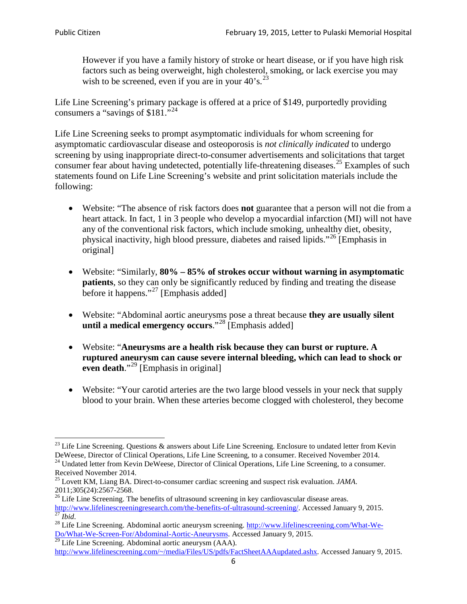However if you have a family history of stroke or heart disease, or if you have high risk factors such as being overweight, high cholesterol, smoking, or lack exercise you may wish to be screened, even if you are in your  $40^\circ$ s.<sup>[23](#page-5-0)</sup>

Life Line Screening's primary package is offered at a price of \$149, purportedly providing consumers a "savings of \$181."[24](#page-5-1)

Life Line Screening seeks to prompt asymptomatic individuals for whom screening for asymptomatic cardiovascular disease and osteoporosis is *not clinically indicated* to undergo screening by using inappropriate direct-to-consumer advertisements and solicitations that target consumer fear about having undetected, potentially life-threatening diseases.<sup>[25](#page-5-2)</sup> Examples of such statements found on Life Line Screening's website and print solicitation materials include the following:

- Website: "The absence of risk factors does **not** guarantee that a person will not die from a heart attack. In fact, 1 in 3 people who develop a myocardial infarction (MI) will not have any of the conventional risk factors, which include smoking, unhealthy diet, obesity, physical inactivity, high blood pressure, diabetes and raised lipids."[26](#page-5-3) [Emphasis in original]
- Website: "Similarly, **80% – 85% of strokes occur without warning in asymptomatic patients**, so they can only be significantly reduced by finding and treating the disease before it happens."<sup>[27](#page-5-4)</sup> [Emphasis added]
- Website: "Abdominal aortic aneurysms pose a threat because **they are usually silent until a medical emergency occurs**."[28](#page-5-5) [Emphasis added]
- Website: "**Aneurysms are a health risk because they can burst or rupture. A ruptured aneurysm can cause severe internal bleeding, which can lead to shock or even death.**"<sup>[29](#page-5-6)</sup> [Emphasis in original]
- Website: "Your carotid arteries are the two large blood vessels in your neck that supply blood to your brain. When these arteries become clogged with cholesterol, they become

<span id="page-5-0"></span><sup>&</sup>lt;sup>23</sup> Life Line Screening. Questions  $\&$  answers about Life Line Screening. Enclosure to undated letter from Kevin DeWeese, Director of Clinical Operations, Life Line Screening, to a consumer. Received November 2014.

<span id="page-5-1"></span><sup>&</sup>lt;sup>24</sup> Undated letter from Kevin DeWeese, Director of Clinical Operations, Life Line Screening, to a consumer. Received November 2014.

<span id="page-5-2"></span><sup>25</sup> Lovett KM, Liang BA. Direct-to-consumer cardiac screening and suspect risk evaluation. *JAMA*.  $2011;305(24):2567-2568$ .<br><sup>26</sup> Life Line Screening. The benefits of ultrasound screening in key cardiovascular disease areas.

<span id="page-5-3"></span>[http://www.lifelinescreeningresearch.com/the-benefits-of-ultrasound-screening/.](http://www.lifelinescreeningresearch.com/the-benefits-of-ultrasound-screening/) Accessed January 9, 2015.<br><sup>28</sup> Life Line Screening. Abdominal aortic aneurysm screening. http://www.lifelinescreening.com/What-We-<sup>28</sup>

<span id="page-5-5"></span><span id="page-5-4"></span>[Do/What-We-Screen-For/Abdominal-Aortic-Aneurysms.](http://www.lifelinescreening.com/What-We-Do/What-We-Screen-For/Abdominal-Aortic-Aneurysms) Accessed January 9, 2015. <sup>29</sup> Life Line Screening. Abdominal aortic aneurysm (AAA).

<span id="page-5-6"></span>[http://www.lifelinescreening.com/~/media/Files/US/pdfs/FactSheetAAAupdated.ashx.](http://www.lifelinescreening.com/~/media/Files/US/pdfs/FactSheetAAAupdated.ashx) Accessed January 9, 2015.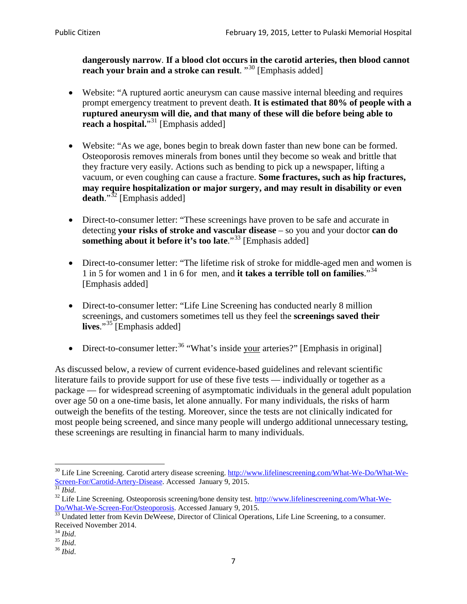**dangerously narrow**. **If a blood clot occurs in the carotid arteries, then blood cannot reach your brain and a stroke can result**. "<sup>[30](#page-6-0)</sup> [Emphasis added]

- Website: "A ruptured aortic aneurysm can cause massive internal bleeding and requires prompt emergency treatment to prevent death. **It is estimated that 80% of people with a ruptured aneurysm will die, and that many of these will die before being able to reach a hospital.**"<sup>[31](#page-6-1)</sup> [Emphasis added]
- Website: "As we age, bones begin to break down faster than new bone can be formed. Osteoporosis removes minerals from bones until they become so weak and brittle that they fracture very easily. Actions such as bending to pick up a newspaper, lifting a vacuum, or even coughing can cause a fracture. **Some fractures, such as hip fractures, may require hospitalization or major surgery, and may result in disability or even**  death."<sup>[32](#page-6-2)</sup> [Emphasis added]
- Direct-to-consumer letter: "These screenings have proven to be safe and accurate in detecting **your risks of stroke and vascular disease** – so you and your doctor **can do something about it before it's too late.**"<sup>[33](#page-6-3)</sup> [Emphasis added]
- Direct-to-consumer letter: "The lifetime risk of stroke for middle-aged men and women is 1 in 5 for women and 1 in 6 for men, and **it takes a terrible toll on families**."[34](#page-6-4) [Emphasis added]
- Direct-to-consumer letter: "Life Line Screening has conducted nearly 8 million screenings, and customers sometimes tell us they feel the **screenings saved their lives**."[35](#page-6-5) [Emphasis added]
- Direct-to-consumer letter:  $36$  "What's inside your arteries?" [Emphasis in original]

As discussed below, a review of current evidence-based guidelines and relevant scientific literature fails to provide support for use of these five tests — individually or together as a package — for widespread screening of asymptomatic individuals in the general adult population over age 50 on a one-time basis, let alone annually. For many individuals, the risks of harm outweigh the benefits of the testing. Moreover, since the tests are not clinically indicated for most people being screened, and since many people will undergo additional unnecessary testing, these screenings are resulting in financial harm to many individuals.

<span id="page-6-0"></span><sup>&</sup>lt;sup>30</sup> Life Line Screening. Carotid artery disease screening. [http://www.lifelinescreening.com/What-We-Do/What-We-](http://www.lifelinescreening.com/What-We-Do/What-We-Screen-For/Carotid-Artery-Disease)[Screen-For/Carotid-Artery-Disease.](http://www.lifelinescreening.com/What-We-Do/What-We-Screen-For/Carotid-Artery-Disease) Accessed January 9, 2015.<br><sup>31</sup> *Ibid.* 32 Life Line Screening. Osteoporosis screening/bone density test. [http://www.lifelinescreening.com/What-We-](http://www.lifelinescreening.com/What-We-Do/What-We-Screen-For/Osteoporosis)

<span id="page-6-2"></span><span id="page-6-1"></span>[Do/What-We-Screen-For/Osteoporosis.](http://www.lifelinescreening.com/What-We-Do/What-We-Screen-For/Osteoporosis) Accessed January 9, 2015. <sup>33</sup> Undated letter from Kevin DeWeese, Director of Clinical Operations, Life Line Screening, to a consumer.

<span id="page-6-3"></span>Received November 2014.<br><sup>34</sup> Ibid.

<span id="page-6-4"></span>

<span id="page-6-5"></span><sup>34</sup> *Ibid*. 35 *Ibid*. 36 *Ibid*.

<span id="page-6-6"></span>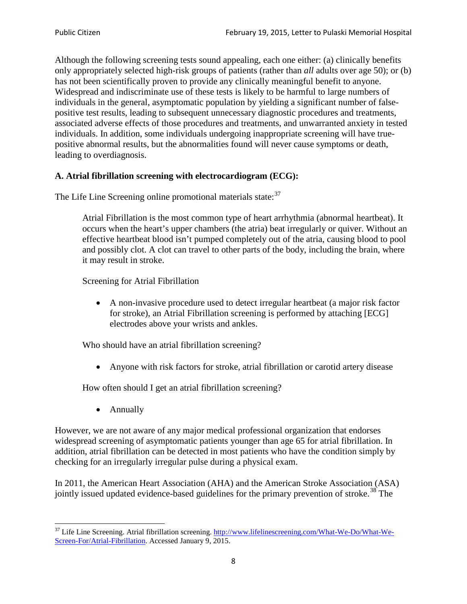Although the following screening tests sound appealing, each one either: (a) clinically benefits only appropriately selected high-risk groups of patients (rather than *all* adults over age 50); or (b) has not been scientifically proven to provide any clinically meaningful benefit to anyone. Widespread and indiscriminate use of these tests is likely to be harmful to large numbers of individuals in the general, asymptomatic population by yielding a significant number of falsepositive test results, leading to subsequent unnecessary diagnostic procedures and treatments, associated adverse effects of those procedures and treatments, and unwarranted anxiety in tested individuals. In addition, some individuals undergoing inappropriate screening will have truepositive abnormal results, but the abnormalities found will never cause symptoms or death, leading to overdiagnosis.

# **A. Atrial fibrillation screening with electrocardiogram (ECG):**

The Life Line Screening online promotional materials state:<sup>[37](#page-7-0)</sup>

Atrial Fibrillation is the most common type of heart arrhythmia (abnormal heartbeat). It occurs when the heart's upper chambers (the atria) beat irregularly or quiver. Without an effective heartbeat blood isn't pumped completely out of the atria, causing blood to pool and possibly clot. A clot can travel to other parts of the body, including the brain, where it may result in stroke.

Screening for Atrial Fibrillation

• A non-invasive procedure used to detect irregular heartbeat (a major risk factor for stroke), an Atrial Fibrillation screening is performed by attaching [ECG] electrodes above your wrists and ankles.

Who should have an atrial fibrillation screening?

• Anyone with risk factors for stroke, atrial fibrillation or carotid artery disease

How often should I get an atrial fibrillation screening?

• Annually

<span id="page-7-1"></span>However, we are not aware of any major medical professional organization that endorses widespread screening of asymptomatic patients younger than age 65 for atrial fibrillation. In addition, atrial fibrillation can be detected in most patients who have the condition simply by checking for an irregularly irregular pulse during a physical exam.

In 2011, the American Heart Association (AHA) and the American Stroke Association (ASA) jointly issued updated evidence-based guidelines for the primary prevention of stroke.<sup>[38](#page-7-1)</sup> The

<span id="page-7-0"></span><sup>&</sup>lt;sup>37</sup> Life Line Screening. Atrial fibrillation screening. [http://www.lifelinescreening.com/What-We-Do/What-We-](http://www.lifelinescreening.com/What-We-Do/What-We-Screen-For/Atrial-Fibrillation)[Screen-For/Atrial-Fibrillation.](http://www.lifelinescreening.com/What-We-Do/What-We-Screen-For/Atrial-Fibrillation) Accessed January 9, 2015.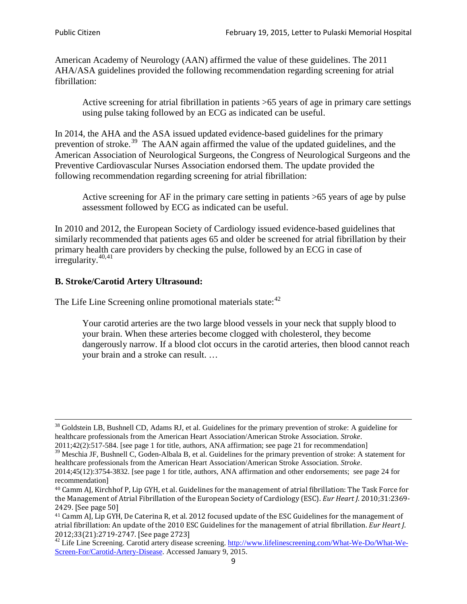American Academy of Neurology (AAN) affirmed the value of these guidelines. The 2011 AHA/ASA guidelines provided the following recommendation regarding screening for atrial fibrillation:

Active screening for atrial fibrillation in patients >65 years of age in primary care settings using pulse taking followed by an ECG as indicated can be useful.

In 2014, the AHA and the ASA issued updated evidence-based guidelines for the primary prevention of stroke.<sup>[39](#page-8-0)</sup> The AAN again affirmed the value of the updated guidelines, and the American Association of Neurological Surgeons, the Congress of Neurological Surgeons and the Preventive Cardiovascular Nurses Association endorsed them. The update provided the following recommendation regarding screening for atrial fibrillation:

Active screening for AF in the primary care setting in patients >65 years of age by pulse assessment followed by ECG as indicated can be useful.

In 2010 and 2012, the European Society of Cardiology issued evidence-based guidelines that similarly recommended that patients ages 65 and older be screened for atrial fibrillation by their primary health care providers by checking the pulse, followed by an ECG in case of irregularity. $40,41$  $40,41$ 

# **B. Stroke/Carotid Artery Ultrasound:**

The Life Line Screening online promotional materials state:<sup>[42](#page-8-3)</sup>

Your carotid arteries are the two large blood vessels in your neck that supply blood to your brain. When these arteries become clogged with cholesterol, they become dangerously narrow. If a blood clot occurs in the carotid arteries, then blood cannot reach your brain and a stroke can result. …

<sup>&</sup>lt;sup>38</sup> Goldstein LB, Bushnell CD, Adams RJ, et al. Guidelines for the primary prevention of stroke: A guideline for healthcare professionals from the American Heart Association/American Stroke Association. *Stroke*.

<sup>2011;42(2):517-584.</sup> [see page 1 for title, authors, ANA affirmation; see page 21 for recommendation]

<span id="page-8-0"></span> $\frac{2011,42(2)(317,601)}{39}$  Meschia JF, Bushnell C, Goden-Albala B, et al. Guidelines for the primary prevention of stroke: A statement for healthcare professionals from the American Heart Association/American Stroke Association. *Stroke*.

<sup>2014;45(12):3754-3832.</sup> [see page 1 for title, authors, ANA affirmation and other endorsements; see page 24 for recommendation]

<span id="page-8-1"></span><sup>40</sup> Camm AJ, Kirchhof P, Lip GYH, et al. Guidelines for the management of atrial fibrillation: The Task Force for the Management of Atrial Fibrillation of the European Society of Cardiology (ESC). *Eur Heart J*. 2010;31:2369- 2429. [See page 50]

<span id="page-8-2"></span><sup>41</sup> Camm AJ, Lip GYH, De Caterina R, et al. 2012 focused update of the ESC Guidelines for the management of atrial fibrillation: An update of the 2010 ESC Guidelines for the management of atrial fibrillation. *Eur Heart J*.

<span id="page-8-3"></span><sup>&</sup>lt;sup>2012</sup>;23(21):2719-2747. [See page 273] 42 Life Line Screening. [http://www.lifelinescreening.com/What-We-Do/What-We-](http://www.lifelinescreening.com/What-We-Do/What-We-Screen-For/Carotid-Artery-Disease)[Screen-For/Carotid-Artery-Disease.](http://www.lifelinescreening.com/What-We-Do/What-We-Screen-For/Carotid-Artery-Disease) Accessed January 9, 2015.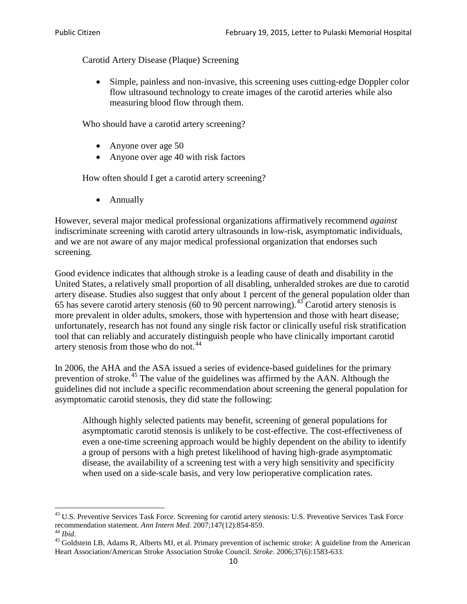Carotid Artery Disease (Plaque) Screening

• Simple, painless and non-invasive, this screening uses cutting-edge Doppler color flow ultrasound technology to create images of the carotid arteries while also measuring blood flow through them.

Who should have a carotid artery screening?

- Anyone over age 50
- Anyone over age 40 with risk factors

How often should I get a carotid artery screening?

• Annually

However, several major medical professional organizations affirmatively recommend *against* indiscriminate screening with carotid artery ultrasounds in low-risk, asymptomatic individuals, and we are not aware of any major medical professional organization that endorses such screening.

Good evidence indicates that although stroke is a leading cause of death and disability in the United States, a relatively small proportion of all disabling, unheralded strokes are due to carotid artery disease. Studies also suggest that only about 1 percent of the general population older than 65 has severe carotid artery stenosis (60 to 90 percent narrowing).<sup>[43](#page-9-0)</sup> Carotid artery stenosis is more prevalent in older adults, smokers, those with hypertension and those with heart disease; unfortunately, research has not found any single risk factor or clinically useful risk stratification tool that can reliably and accurately distinguish people who have clinically important carotid artery stenosis from those who do not.<sup>[44](#page-9-1)</sup>

In 2006, the AHA and the ASA issued a series of evidence-based guidelines for the primary prevention of stroke.[45](#page-9-2) The value of the guidelines was affirmed by the AAN. Although the guidelines did not include a specific recommendation about screening the general population for asymptomatic carotid stenosis, they did state the following:

Although highly selected patients may benefit, screening of general populations for asymptomatic carotid stenosis is unlikely to be cost-effective. The cost-effectiveness of even a one-time screening approach would be highly dependent on the ability to identify a group of persons with a high pretest likelihood of having high-grade asymptomatic disease, the availability of a screening test with a very high sensitivity and specificity when used on a side-scale basis, and very low perioperative complication rates.

<span id="page-9-0"></span> $^{43}$  U.S. Preventive Services Task Force. Screening for carotid artery stenosis: U.S. Preventive Services Task Force recommendation statement. Ann Intern Med. 2007;147(12):854-859.

<span id="page-9-2"></span><span id="page-9-1"></span><sup>&</sup>lt;sup>44</sup> *Ibid*. <sup>45</sup> Goldstein LB, Adams R, Alberts MJ, et al. Primary prevention of ischemic stroke: A guideline from the American <sup>45</sup> Goldstein LB, Adams R, Alberts MJ, et al. Primary prevention of ischemic stroke: A guide Heart Association/American Stroke Association Stroke Council. *Stroke*. 2006;37(6):1583-633.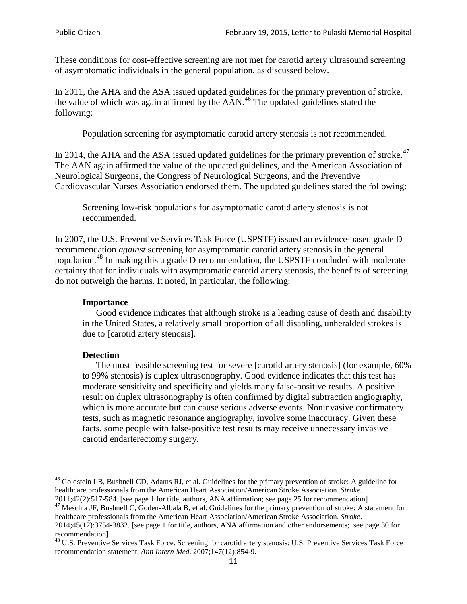These conditions for cost-effective screening are not met for carotid artery ultrasound screening of asymptomatic individuals in the general population, as discussed below.

In 2011, the AHA and the ASA issued updated guidelines for the primary prevention of stroke, the value of which was again affirmed by the  $AAN<sup>46</sup>$  $AAN<sup>46</sup>$  $AAN<sup>46</sup>$ . The updated guidelines stated the following:

Population screening for asymptomatic carotid artery stenosis is not recommended.

In 2014, the AHA and the ASA issued updated guidelines for the primary prevention of stroke.<sup>47</sup> The AAN again affirmed the value of the updated guidelines, and the American Association of Neurological Surgeons, the Congress of Neurological Surgeons, and the Preventive Cardiovascular Nurses Association endorsed them. The updated guidelines stated the following:

Screening low-risk populations for asymptomatic carotid artery stenosis is not recommended.

In 2007, the U.S. Preventive Services Task Force (USPSTF) issued an evidence-based grade D recommendation *against* screening for asymptomatic carotid artery stenosis in the general population.[48](#page-10-2) In making this a grade D recommendation, the USPSTF concluded with moderate certainty that for individuals with asymptomatic carotid artery stenosis, the benefits of screening do not outweigh the harms. It noted, in particular, the following:

#### **Importance**

Good evidence indicates that although stroke is a leading cause of death and disability in the United States, a relatively small proportion of all disabling, unheralded strokes is due to [carotid artery stenosis].

#### **Detection**

The most feasible screening test for severe [carotid artery stenosis] (for example, 60% to 99% stenosis) is duplex ultrasonography. Good evidence indicates that this test has moderate sensitivity and specificity and yields many false-positive results. A positive result on duplex ultrasonography is often confirmed by digital subtraction angiography, which is more accurate but can cause serious adverse events. Noninvasive confirmatory tests, such as magnetic resonance angiography, involve some inaccuracy. Given these facts, some people with false-positive test results may receive unnecessary invasive carotid endarterectomy surgery.

<span id="page-10-0"></span><sup>&</sup>lt;sup>46</sup> Goldstein LB, Bushnell CD, Adams RJ, et al. Guidelines for the primary prevention of stroke: A guideline for healthcare professionals from the American Heart Association/American Stroke Association. *Stroke*.<br>2011;42(2):517-584. [see page 1 for title, authors, ANA affirmation; see page 25 for recommendation]

<span id="page-10-1"></span><sup>&</sup>lt;sup>47</sup> Meschia JF, Bushnell C, Goden-Albala B, et al. Guidelines for the primary prevention of stroke: A statement for healthcare professionals from the American Heart Association/American Stroke Association. *Stroke*. 2014;45(12):3754-3832. [see page 1 for title, authors, ANA affirmation and other endorsements; see page 30 for

recommendation]

<span id="page-10-2"></span><sup>&</sup>lt;sup>48</sup> U.S. Preventive Services Task Force. Screening for carotid artery stenosis: U.S. Preventive Services Task Force recommendation statement. *Ann Intern Med*. 2007;147(12):854-9.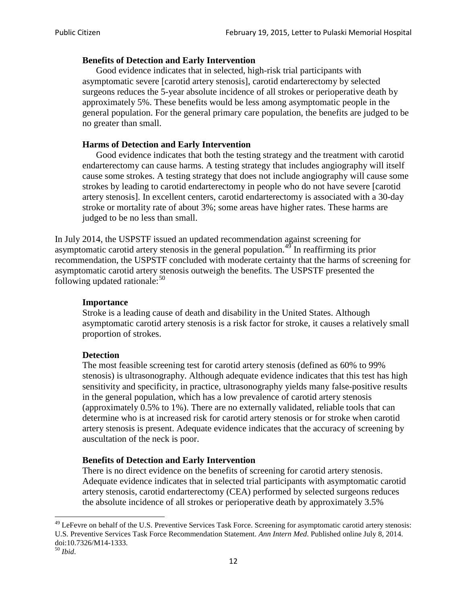## **Benefits of Detection and Early Intervention**

Good evidence indicates that in selected, high-risk trial participants with asymptomatic severe [carotid artery stenosis], carotid endarterectomy by selected surgeons reduces the 5-year absolute incidence of all strokes or perioperative death by approximately 5%. These benefits would be less among asymptomatic people in the general population. For the general primary care population, the benefits are judged to be no greater than small.

## **Harms of Detection and Early Intervention**

Good evidence indicates that both the testing strategy and the treatment with carotid endarterectomy can cause harms. A testing strategy that includes angiography will itself cause some strokes. A testing strategy that does not include angiography will cause some strokes by leading to carotid endarterectomy in people who do not have severe [carotid artery stenosis]. In excellent centers, carotid endarterectomy is associated with a 30-day stroke or mortality rate of about 3%; some areas have higher rates. These harms are judged to be no less than small.

In July 2014, the USPSTF issued an updated recommendation against screening for asymptomatic carotid artery stenosis in the general population.<sup>[49](#page-11-0)</sup> In reaffirming its prior recommendation, the USPSTF concluded with moderate certainty that the harms of screening for asymptomatic carotid artery stenosis outweigh the benefits. The USPSTF presented the following updated rationale: $50$ 

### **Importance**

Stroke is a leading cause of death and disability in the United States. Although asymptomatic carotid artery stenosis is a risk factor for stroke, it causes a relatively small proportion of strokes.

### **Detection**

The most feasible screening test for carotid artery stenosis (defined as 60% to 99% stenosis) is ultrasonography. Although adequate evidence indicates that this test has high sensitivity and specificity, in practice, ultrasonography yields many false-positive results in the general population, which has a low prevalence of carotid artery stenosis (approximately 0.5% to 1%). There are no externally validated, reliable tools that can determine who is at increased risk for carotid artery stenosis or for stroke when carotid artery stenosis is present. Adequate evidence indicates that the accuracy of screening by auscultation of the neck is poor.

# **Benefits of Detection and Early Intervention**

There is no direct evidence on the benefits of screening for carotid artery stenosis. Adequate evidence indicates that in selected trial participants with asymptomatic carotid artery stenosis, carotid endarterectomy (CEA) performed by selected surgeons reduces the absolute incidence of all strokes or perioperative death by approximately 3.5%

<span id="page-11-0"></span><sup>&</sup>lt;sup>49</sup> LeFevre on behalf of the U.S. Preventive Services Task Force. Screening for asymptomatic carotid artery stenosis: U.S. Preventive Services Task Force Recommendation Statement. *Ann Intern Med*. Published online July 8, 2014. doi:10.7326/M14-1333. <sup>50</sup> *Ibid*.

<span id="page-11-1"></span>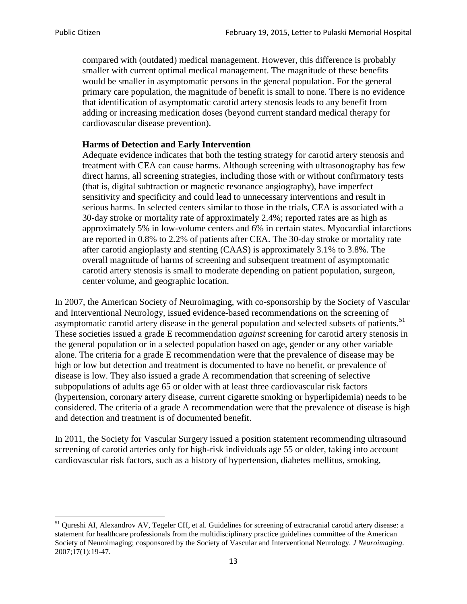compared with (outdated) medical management. However, this difference is probably smaller with current optimal medical management. The magnitude of these benefits would be smaller in asymptomatic persons in the general population. For the general primary care population, the magnitude of benefit is small to none. There is no evidence that identification of asymptomatic carotid artery stenosis leads to any benefit from adding or increasing medication doses (beyond current standard medical therapy for cardiovascular disease prevention).

#### **Harms of Detection and Early Intervention**

Adequate evidence indicates that both the testing strategy for carotid artery stenosis and treatment with CEA can cause harms. Although screening with ultrasonography has few direct harms, all screening strategies, including those with or without confirmatory tests (that is, digital subtraction or magnetic resonance angiography), have imperfect sensitivity and specificity and could lead to unnecessary interventions and result in serious harms. In selected centers similar to those in the trials, CEA is associated with a 30-day stroke or mortality rate of approximately 2.4%; reported rates are as high as approximately 5% in low-volume centers and 6% in certain states. Myocardial infarctions are reported in 0.8% to 2.2% of patients after CEA. The 30-day stroke or mortality rate after carotid angioplasty and stenting (CAAS) is approximately 3.1% to 3.8%. The overall magnitude of harms of screening and subsequent treatment of asymptomatic carotid artery stenosis is small to moderate depending on patient population, surgeon, center volume, and geographic location.

In 2007, the American Society of Neuroimaging, with co-sponsorship by the Society of Vascular and Interventional Neurology, issued evidence-based recommendations on the screening of asymptomatic carotid artery disease in the general population and selected subsets of patients.<sup>[51](#page-12-0)</sup> These societies issued a grade E recommendation *against* screening for carotid artery stenosis in the general population or in a selected population based on age, gender or any other variable alone. The criteria for a grade E recommendation were that the prevalence of disease may be high or low but detection and treatment is documented to have no benefit, or prevalence of disease is low. They also issued a grade A recommendation that screening of selective subpopulations of adults age 65 or older with at least three cardiovascular risk factors (hypertension, coronary artery disease, current cigarette smoking or hyperlipidemia) needs to be considered. The criteria of a grade A recommendation were that the prevalence of disease is high and detection and treatment is of documented benefit.

In 2011, the Society for Vascular Surgery issued a position statement recommending ultrasound screening of carotid arteries only for high-risk individuals age 55 or older, taking into account cardiovascular risk factors, such as a history of hypertension, diabetes mellitus, smoking,

<span id="page-12-0"></span><sup>&</sup>lt;sup>51</sup> Oureshi AI, Alexandrov AV, Tegeler CH, et al. Guidelines for screening of extracranial carotid artery disease: a statement for healthcare professionals from the multidisciplinary practice guidelines committee of the American Society of Neuroimaging; cosponsored by the Society of Vascular and Interventional Neurology. *J Neuroimaging*. 2007;17(1):19-47.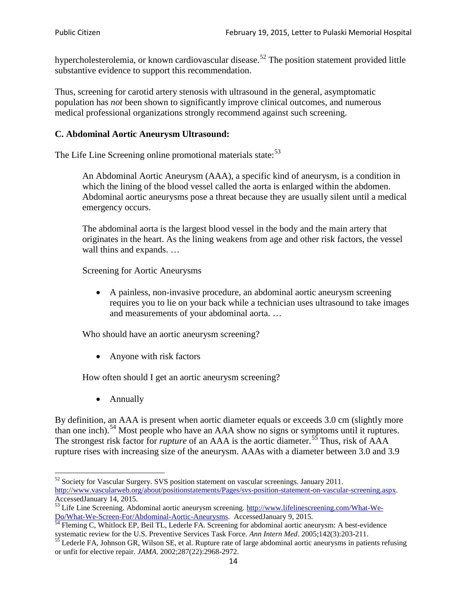hypercholesterolemia, or known cardiovascular disease.<sup>[52](#page-13-0)</sup> The position statement provided little substantive evidence to support this recommendation.

Thus, screening for carotid artery stenosis with ultrasound in the general, asymptomatic population has *not* been shown to significantly improve clinical outcomes, and numerous medical professional organizations strongly recommend against such screening.

### **C. Abdominal Aortic Aneurysm Ultrasound:**

The Life Line Screening online promotional materials state:<sup>[53](#page-13-1)</sup>

An Abdominal Aortic Aneurysm (AAA), a specific kind of aneurysm, is a condition in which the lining of the blood vessel called the aorta is enlarged within the abdomen. Abdominal aortic aneurysms pose a threat because they are usually silent until a medical emergency occurs.

The abdominal aorta is the largest blood vessel in the body and the main artery that originates in the heart. As the lining weakens from age and other risk factors, the vessel wall thins and expands. …

Screening for Aortic Aneurysms

• A painless, non-invasive procedure, an abdominal aortic aneurysm screening requires you to lie on your back while a technician uses ultrasound to take images and measurements of your abdominal aorta. …

Who should have an aortic aneurysm screening?

• Anyone with risk factors

How often should I get an aortic aneurysm screening?

• Annually

By definition, an AAA is present when aortic diameter equals or exceeds 3.0 cm (slightly more than one inch).<sup>[54](#page-13-2)</sup> Most people who have an AAA show no signs or symptoms until it ruptures. The strongest risk factor for *rupture* of an AAA is the aortic diameter.<sup>[55](#page-13-3)</sup> Thus, risk of AAA rupture rises with increasing size of the aneurysm. AAAs with a diameter between 3.0 and 3.9

<span id="page-13-0"></span><sup>&</sup>lt;sup>52</sup> Society for Vascular Surgery. SVS position statement on vascular screenings. January 2011. http://www.vascularweb.org/about/positionstatements/Pages/svs-position-statement-on-vascular-screening.aspx.<br>Accessed January 14, 2015.

<span id="page-13-1"></span>Accessed January 14, 2015.<br>
Sa Life Line Screening. Abdominal aortic aneurysm screening. http://www.lifelinescreening.com/What-We-<br>
Do/What-We-Screen-For/Abdominal-Aortic-Aneurysms. Accessed January 9, 2015.

<span id="page-13-2"></span> $\frac{1}{54}$  Fleming C, Whitlock EP, Beil TL, Lederle FA. Screening for abdominal aortic aneurysm: A best-evidence systematic review for the U.S. Preventive Services Task Force. *Ann Intern Med.* 2005;142(3):203-211.<br><sup>55</sup> Lederle FA, Johnson GR, Wilson SE, et al. Rupture rate of large abdominal aortic aneurysms in patients refusing

<span id="page-13-3"></span>or unfit for elective repair. *JAMA*. 2002;287(22):2968-2972.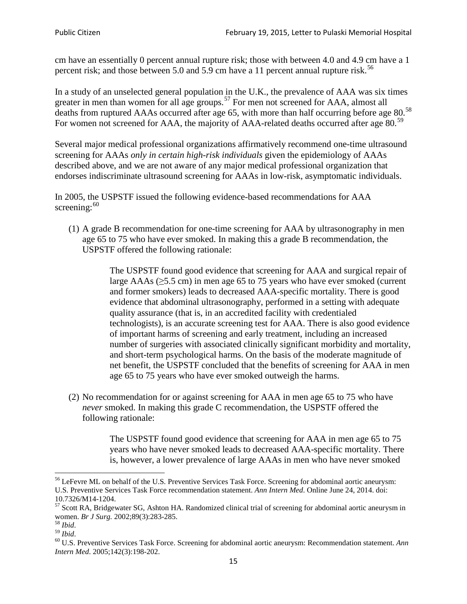cm have an essentially 0 percent annual rupture risk; those with between 4.0 and 4.9 cm have a 1 percent risk; and those between 5.0 and 5.9 cm have a 11 percent annual rupture risk.<sup>[56](#page-14-0)</sup>

In a study of an unselected general population in the U.K., the prevalence of AAA was six times greater in men than women for all age groups.<sup>[57](#page-14-1)</sup> For men not screened for  $AAA$ , almost all deaths from ruptured AAAs occurred after age 65, with more than half occurring before age 80.<sup>[58](#page-14-2)</sup> For women not screened for AAA, the majority of AAA-related deaths occurred after age 80.<sup>[59](#page-14-3)</sup>

Several major medical professional organizations affirmatively recommend one-time ultrasound screening for AAAs *only in certain high-risk individuals* given the epidemiology of AAAs described above, and we are not aware of any major medical professional organization that endorses indiscriminate ultrasound screening for AAAs in low-risk, asymptomatic individuals.

In 2005, the USPSTF issued the following evidence-based recommendations for AAA screening: $60$ 

(1) A grade B recommendation for one-time screening for AAA by ultrasonography in men age 65 to 75 who have ever smoked. In making this a grade [B recommendation,](http://www.uspreventiveservicestaskforce.org/uspstf/gradespre.htm#brec) the USPSTF offered the following rationale:

> The USPSTF found good evidence that screening for AAA and surgical repair of large AAAs ( $\geq$ 5.5 cm) in men age 65 to 75 years who have ever smoked (current and former smokers) leads to decreased AAA-specific mortality. There is good evidence that abdominal ultrasonography, performed in a setting with adequate quality assurance (that is, in an accredited facility with credentialed technologists), is an accurate screening test for AAA. There is also good evidence of important harms of screening and early treatment, including an increased number of surgeries with associated clinically significant morbidity and mortality, and short-term psychological harms. On the basis of the moderate magnitude of net benefit, the USPSTF concluded that the benefits of screening for AAA in men age 65 to 75 years who have ever smoked outweigh the harms.

(2) No recommendation for or against screening for AAA in men age 65 to 75 who have *never* smoked. In making this grade C recommendation, the USPSTF offered the following rationale:

> The USPSTF found good evidence that screening for AAA in men age 65 to 75 years who have never smoked leads to decreased AAA-specific mortality. There is, however, a lower prevalence of large AAAs in men who have never smoked

<span id="page-14-0"></span><sup>&</sup>lt;sup>56</sup> LeFevre ML on behalf of the U.S. Preventive Services Task Force. Screening for abdominal aortic aneurysm: U.S. Preventive Services Task Force recommendation statement. *Ann Intern Med*. Online June 24, 2014. doi:

<span id="page-14-1"></span><sup>10.7326/</sup>M14-1204.<br> $57$  Scott RA, Bridgewater SG, Ashton HA. Randomized clinical trial of screening for abdominal aortic aneurysm in women. *Br J Surg.* 2002;89(3):283-285.

<span id="page-14-4"></span><span id="page-14-3"></span>

<span id="page-14-2"></span><sup>&</sup>lt;sup>58</sup> *Ibid.*<br><sup>59</sup> *Ibid.* 2002;<br><sup>60</sup> U.S. Preventive Services Task Force. Screening for abdominal aortic aneurysm: Recommendation statement. *Ann Intern Med*. 2005;142(3):198-202.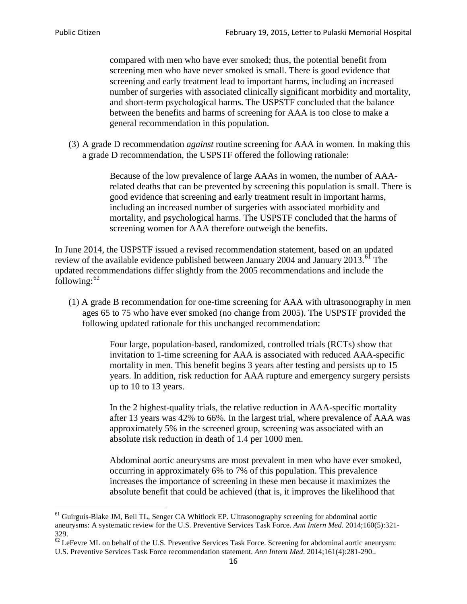compared with men who have ever smoked; thus, the potential benefit from screening men who have never smoked is small. There is good evidence that screening and early treatment lead to important harms, including an increased number of surgeries with associated clinically significant morbidity and mortality, and short-term psychological harms. The USPSTF concluded that the balance between the benefits and harms of screening for AAA is too close to make a general recommendation in this population.

(3) A grade D recommendation *against* routine screening for AAA in women. In making this a grade D recommendation, the USPSTF offered the following rationale:

> Because of the low prevalence of large AAAs in women, the number of AAArelated deaths that can be prevented by screening this population is small. There is good evidence that screening and early treatment result in important harms, including an increased number of surgeries with associated morbidity and mortality, and psychological harms. The USPSTF concluded that the harms of screening women for AAA therefore outweigh the benefits.

In June 2014, the USPSTF issued a revised recommendation statement, based on an updated review of the available evidence published between January 2004 and January 2013.<sup>[61](#page-15-0)</sup> The updated recommendations differ slightly from the 2005 recommendations and include the following: $62$ 

(1) A grade B recommendation for one-time screening for AAA with ultrasonography in men ages 65 to 75 who have ever smoked (no change from 2005). The USPSTF provided the following updated rationale for this unchanged recommendation:

> Four large, population-based, randomized, controlled trials (RCTs) show that invitation to 1-time screening for AAA is associated with reduced AAA-specific mortality in men. This benefit begins 3 years after testing and persists up to 15 years. In addition, risk reduction for AAA rupture and emergency surgery persists up to 10 to 13 years.

> In the 2 highest-quality trials, the relative reduction in AAA-specific mortality after 13 years was 42% to 66%. In the largest trial, where prevalence of AAA was approximately 5% in the screened group, screening was associated with an absolute risk reduction in death of 1.4 per 1000 men.

Abdominal aortic aneurysms are most prevalent in men who have ever smoked, occurring in approximately 6% to 7% of this population. This prevalence increases the importance of screening in these men because it maximizes the absolute benefit that could be achieved (that is, it improves the likelihood that

<span id="page-15-0"></span><sup>61</sup> Guirguis-Blake JM, Beil TL, Senger CA Whitlock EP. Ultrasonography screening for abdominal aortic aneurysms: A systematic review for the U.S. Preventive Services Task Force. *Ann Intern Med*. 2014;160(5):321- 329.

<span id="page-15-1"></span> $62$  LeFevre ML on behalf of the U.S. Preventive Services Task Force. Screening for abdominal aortic aneurysm: U.S. Preventive Services Task Force recommendation statement. *Ann Intern Med*. 2014;161(4):281-290..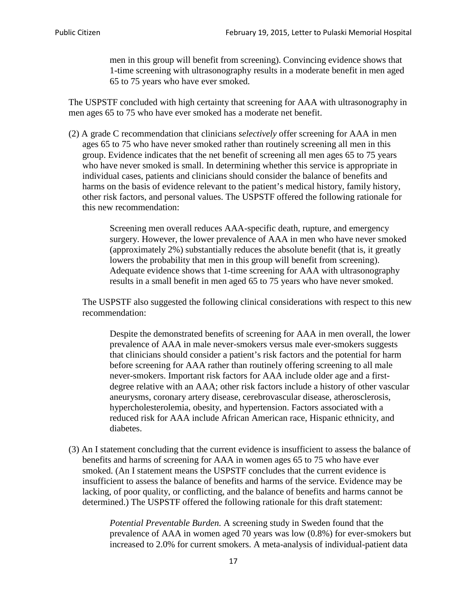men in this group will benefit from screening). Convincing evidence shows that 1-time screening with ultrasonography results in a moderate benefit in men aged 65 to 75 years who have ever smoked.

The USPSTF concluded with high certainty that screening for AAA with ultrasonography in men ages 65 to 75 who have ever smoked has a moderate net benefit.

(2) A grade C recommendation that clinicians *selectively* offer screening for AAA in men ages 65 to 75 who have never smoked rather than routinely screening all men in this group. Evidence indicates that the net benefit of screening all men ages 65 to 75 years who have never smoked is small. In determining whether this service is appropriate in individual cases, patients and clinicians should consider the balance of benefits and harms on the basis of evidence relevant to the patient's medical history, family history, other risk factors, and personal values. The USPSTF offered the following rationale for this new recommendation:

> Screening men overall reduces AAA-specific death, rupture, and emergency surgery. However, the lower prevalence of AAA in men who have never smoked (approximately 2%) substantially reduces the absolute benefit (that is, it greatly lowers the probability that men in this group will benefit from screening). Adequate evidence shows that 1-time screening for AAA with ultrasonography results in a small benefit in men aged 65 to 75 years who have never smoked.

The USPSTF also suggested the following clinical considerations with respect to this new recommendation:

Despite the demonstrated benefits of screening for AAA in men overall, the lower prevalence of AAA in male never-smokers versus male ever-smokers suggests that clinicians should consider a patient's risk factors and the potential for harm before screening for AAA rather than routinely offering screening to all male never-smokers. Important risk factors for AAA include older age and a firstdegree relative with an AAA; other risk factors include a history of other vascular aneurysms, coronary artery disease, cerebrovascular disease, atherosclerosis, hypercholesterolemia, obesity, and hypertension. Factors associated with a reduced risk for AAA include African American race, Hispanic ethnicity, and diabetes.

(3) An I statement concluding that the current evidence is insufficient to assess the balance of benefits and harms of screening for AAA in women ages 65 to 75 who have ever smoked. (An I statement means the USPSTF concludes that the current evidence is insufficient to assess the balance of benefits and harms of the service. Evidence may be lacking, of poor quality, or conflicting, and the balance of benefits and harms cannot be determined.) The USPSTF offered the following rationale for this draft statement:

> *Potential Preventable Burden.* A screening study in Sweden found that the prevalence of AAA in women aged 70 years was low (0.8%) for ever-smokers but increased to 2.0% for current smokers. A meta-analysis of individual-patient data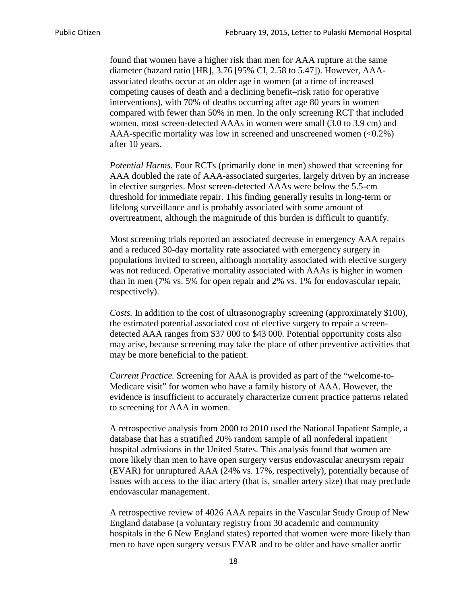found that women have a higher risk than men for AAA rupture at the same diameter (hazard ratio [HR], 3.76 [95% CI, 2.58 to 5.47]). However, AAAassociated deaths occur at an older age in women (at a time of increased competing causes of death and a declining benefit–risk ratio for operative interventions), with 70% of deaths occurring after age 80 years in women compared with fewer than 50% in men. In the only screening RCT that included women, most screen-detected AAAs in women were small (3.0 to 3.9 cm) and AAA-specific mortality was low in screened and unscreened women  $(<0.2\%)$ after 10 years.

*Potential Harms.* Four RCTs (primarily done in men) showed that screening for AAA doubled the rate of AAA-associated surgeries, largely driven by an increase in elective surgeries. Most screen-detected AAAs were below the 5.5-cm threshold for immediate repair. This finding generally results in long-term or lifelong surveillance and is probably associated with some amount of overtreatment, although the magnitude of this burden is difficult to quantify.

Most screening trials reported an associated decrease in emergency AAA repairs and a reduced 30-day mortality rate associated with emergency surgery in populations invited to screen, although mortality associated with elective surgery was not reduced. Operative mortality associated with AAAs is higher in women than in men (7% vs. 5% for open repair and 2% vs. 1% for endovascular repair, respectively).

*Costs.* In addition to the cost of ultrasonography screening (approximately \$100), the estimated potential associated cost of elective surgery to repair a screendetected AAA ranges from \$37 000 to \$43 000. Potential opportunity costs also may arise, because screening may take the place of other preventive activities that may be more beneficial to the patient.

*Current Practice.* Screening for AAA is provided as part of the "welcome-to-Medicare visit" for women who have a family history of AAA. However, the evidence is insufficient to accurately characterize current practice patterns related to screening for AAA in women.

A retrospective analysis from 2000 to 2010 used the National Inpatient Sample, a database that has a stratified 20% random sample of all nonfederal inpatient hospital admissions in the United States. This analysis found that women are more likely than men to have open surgery versus endovascular aneurysm repair (EVAR) for unruptured AAA (24% vs. 17%, respectively), potentially because of issues with access to the iliac artery (that is, smaller artery size) that may preclude endovascular management.

A retrospective review of 4026 AAA repairs in the Vascular Study Group of New England database (a voluntary registry from 30 academic and community hospitals in the 6 New England states) reported that women were more likely than men to have open surgery versus EVAR and to be older and have smaller aortic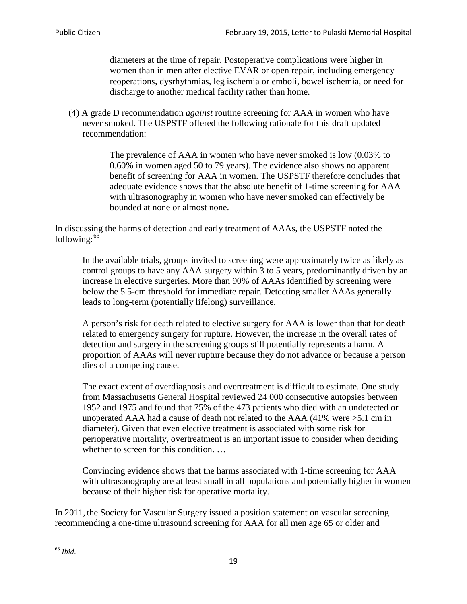diameters at the time of repair. Postoperative complications were higher in women than in men after elective EVAR or open repair, including emergency reoperations, dysrhythmias, leg ischemia or emboli, bowel ischemia, or need for discharge to another medical facility rather than home.

(4) A grade D recommendation *against* routine screening for AAA in women who have never smoked. The USPSTF offered the following rationale for this draft updated recommendation:

> The prevalence of AAA in women who have never smoked is low (0.03% to 0.60% in women aged 50 to 79 years). The evidence also shows no apparent benefit of screening for AAA in women. The USPSTF therefore concludes that adequate evidence shows that the absolute benefit of 1-time screening for AAA with ultrasonography in women who have never smoked can effectively be bounded at none or almost none.

In discussing the harms of detection and early treatment of AAAs, the USPSTF noted the following: $63$ 

In the available trials, groups invited to screening were approximately twice as likely as control groups to have any AAA surgery within 3 to 5 years, predominantly driven by an increase in elective surgeries. More than 90% of AAAs identified by screening were below the 5.5-cm threshold for immediate repair. Detecting smaller AAAs generally leads to long-term (potentially lifelong) surveillance.

A person's risk for death related to elective surgery for AAA is lower than that for death related to emergency surgery for rupture. However, the increase in the overall rates of detection and surgery in the screening groups still potentially represents a harm. A proportion of AAAs will never rupture because they do not advance or because a person dies of a competing cause.

The exact extent of overdiagnosis and overtreatment is difficult to estimate. One study from Massachusetts General Hospital reviewed 24 000 consecutive autopsies between 1952 and 1975 and found that 75% of the 473 patients who died with an undetected or unoperated AAA had a cause of death not related to the AAA (41% were >5.1 cm in diameter). Given that even elective treatment is associated with some risk for perioperative mortality, overtreatment is an important issue to consider when deciding whether to screen for this condition....

Convincing evidence shows that the harms associated with 1-time screening for AAA with ultrasonography are at least small in all populations and potentially higher in women because of their higher risk for operative mortality.

In 2011, the Society for Vascular Surgery issued a position statement on vascular screening recommending a one-time ultrasound screening for AAA for all men age 65 or older and

<span id="page-18-0"></span><sup>63</sup> *Ibid*.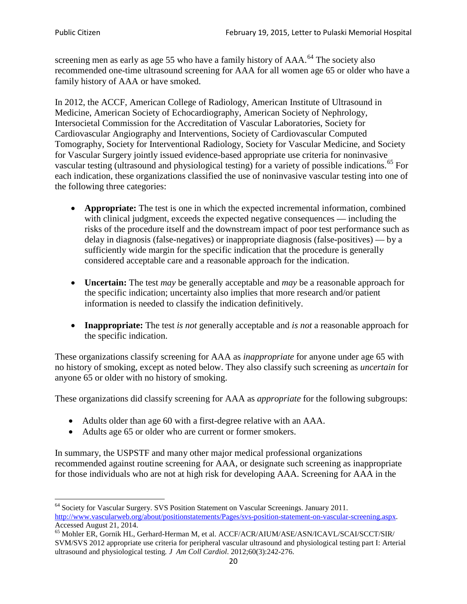screening men as early as age 55 who have a family history of AAA.<sup>[64](#page-19-0)</sup> The society also recommended one-time ultrasound screening for AAA for all women age 65 or older who have a family history of AAA or have smoked.

In 2012, the ACCF, American College of Radiology, American Institute of Ultrasound in Medicine, American Society of Echocardiography, American Society of Nephrology, Intersocietal Commission for the Accreditation of Vascular Laboratories, Society for Cardiovascular Angiography and Interventions, Society of Cardiovascular Computed Tomography, Society for Interventional Radiology, Society for Vascular Medicine, and Society for Vascular Surgery jointly issued evidence-based appropriate use criteria for noninvasive vascular testing (ultrasound and physiological testing) for a variety of possible indications.<sup>[65](#page-19-1)</sup> For each indication, these organizations classified the use of noninvasive vascular testing into one of the following three categories:

- **Appropriate:** The test is one in which the expected incremental information, combined with clinical judgment, exceeds the expected negative consequences — including the risks of the procedure itself and the downstream impact of poor test performance such as delay in diagnosis (false-negatives) or inappropriate diagnosis (false-positives) — by a sufficiently wide margin for the specific indication that the procedure is generally considered acceptable care and a reasonable approach for the indication.
- **Uncertain:** The test *may* be generally acceptable and *may* be a reasonable approach for the specific indication; uncertainty also implies that more research and/or patient information is needed to classify the indication definitively.
- **Inappropriate:** The test *is not* generally acceptable and *is not* a reasonable approach for the specific indication.

These organizations classify screening for AAA as *inappropriate* for anyone under age 65 with no history of smoking, except as noted below. They also classify such screening as *uncertain* for anyone 65 or older with no history of smoking.

These organizations did classify screening for AAA as *appropriate* for the following subgroups:

- Adults older than age 60 with a first-degree relative with an AAA.
- Adults age 65 or older who are current or former smokers.

In summary, the USPSTF and many other major medical professional organizations recommended against routine screening for AAA, or designate such screening as inappropriate for those individuals who are not at high risk for developing AAA. Screening for AAA in the

<span id="page-19-0"></span><sup>64</sup> Society for Vascular Surgery. SVS Position Statement on Vascular Screenings. January 2011. [http://www.vascularweb.org/about/positionstatements/Pages/svs-position-statement-on-vascular-screening.aspx.](http://www.vascularweb.org/about/positionstatements/Pages/svs-position-statement-on-vascular-screening.aspx) 

<span id="page-19-1"></span>Accessed August 21, 2014.<br><sup>65</sup> Mohler ER, Gornik HL, Gerhard-Herman M, et al. ACCF/ACR/AIUM/ASE/ASN/ICAVL/SCAI/SCCT/SIR/ SVM/SVS 2012 appropriate use criteria for peripheral vascular ultrasound and physiological testing part I: Arterial ultrasound and physiological testing*. J Am Coll Cardiol*. 2012;60(3):242-276.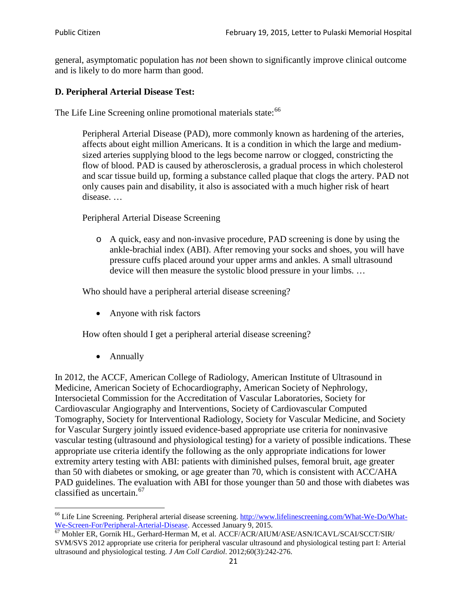general, asymptomatic population has *not* been shown to significantly improve clinical outcome and is likely to do more harm than good.

## **D. Peripheral Arterial Disease Test:**

The Life Line Screening online promotional materials state:<sup>[66](#page-20-0)</sup>

Peripheral Arterial Disease (PAD), more commonly known as hardening of the arteries, affects about eight million Americans. It is a condition in which the large and mediumsized arteries supplying blood to the legs become narrow or clogged, constricting the flow of blood. PAD is caused by atherosclerosis, a gradual process in which cholesterol and scar tissue build up, forming a substance called plaque that clogs the artery. PAD not only causes pain and disability, it also is associated with a much higher risk of heart disease. …

Peripheral Arterial Disease Screening

o A quick, easy and non-invasive procedure, PAD screening is done by using the ankle-brachial index (ABI). After removing your socks and shoes, you will have pressure cuffs placed around your upper arms and ankles. A small ultrasound device will then measure the systolic blood pressure in your limbs. …

Who should have a peripheral arterial disease screening?

• Anyone with risk factors

How often should I get a peripheral arterial disease screening?

• Annually

In 2012, the ACCF, American College of Radiology, American Institute of Ultrasound in Medicine, American Society of Echocardiography, American Society of Nephrology, Intersocietal Commission for the Accreditation of Vascular Laboratories, Society for Cardiovascular Angiography and Interventions, Society of Cardiovascular Computed Tomography, Society for Interventional Radiology, Society for Vascular Medicine, and Society for Vascular Surgery jointly issued evidence-based appropriate use criteria for noninvasive vascular testing (ultrasound and physiological testing) for a variety of possible indications. These appropriate use criteria identify the following as the only appropriate indications for lower extremity artery testing with ABI: patients with diminished pulses, femoral bruit, age greater than 50 with diabetes or smoking, or age greater than 70, which is consistent with ACC/AHA PAD guidelines. The evaluation with ABI for those younger than 50 and those with diabetes was classified as uncertain.<sup>[67](#page-20-1)</sup>

<span id="page-20-0"></span><sup>&</sup>lt;sup>66</sup> Life Line Screening. Peripheral arterial disease screening. [http://www.lifelinescreening.com/What-We-Do/What-](http://www.lifelinescreening.com/What-We-Do/What-We-Screen-For/Peripheral-Arterial-Disease)[We-Screen-For/Peripheral-Arterial-Disease.](http://www.lifelinescreening.com/What-We-Do/What-We-Screen-For/Peripheral-Arterial-Disease) Accessed January 9, 2015.<br><sup>67</sup> Mohler ER, Gornik HL, Gerhard-Herman M, et al. ACCF/ACR/AIUM/ASE/ASN/ICAVL/SCAI/SCCT/SIR/

<span id="page-20-1"></span>SVM/SVS 2012 appropriate use criteria for peripheral vascular ultrasound and physiological testing part I: Arterial ultrasound and physiological testing. *J Am Coll Cardiol*. 2012;60(3):242-276.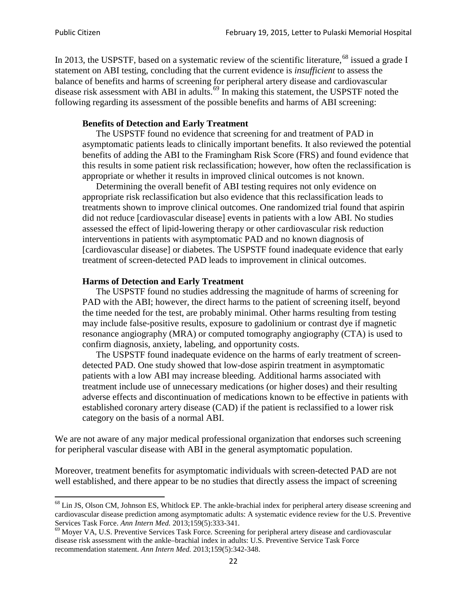In 2013, the USPSTF, based on a systematic review of the scientific literature,<sup>[68](#page-21-0)</sup> issued a grade I statement on ABI testing, concluding that the current evidence is *insufficient* to assess the balance of benefits and harms of screening for peripheral artery disease and cardiovascular disease risk assessment with ABI in adults.<sup>[69](#page-21-1)</sup> In making this statement, the USPSTF noted the following regarding its assessment of the possible benefits and harms of ABI screening:

#### **Benefits of Detection and Early Treatment**

The USPSTF found no evidence that screening for and treatment of PAD in asymptomatic patients leads to clinically important benefits. It also reviewed the potential benefits of adding the ABI to the Framingham Risk Score (FRS) and found evidence that this results in some patient risk reclassification; however, how often the reclassification is appropriate or whether it results in improved clinical outcomes is not known.

Determining the overall benefit of ABI testing requires not only evidence on appropriate risk reclassification but also evidence that this reclassification leads to treatments shown to improve clinical outcomes. One randomized trial found that aspirin did not reduce [cardiovascular disease] events in patients with a low ABI. No studies assessed the effect of lipid-lowering therapy or other cardiovascular risk reduction interventions in patients with asymptomatic PAD and no known diagnosis of [cardiovascular disease] or diabetes. The USPSTF found inadequate evidence that early treatment of screen-detected PAD leads to improvement in clinical outcomes.

#### **Harms of Detection and Early Treatment**

The USPSTF found no studies addressing the magnitude of harms of screening for PAD with the ABI; however, the direct harms to the patient of screening itself, beyond the time needed for the test, are probably minimal. Other harms resulting from testing may include false-positive results, exposure to gadolinium or contrast dye if magnetic resonance angiography (MRA) or computed tomography angiography (CTA) is used to confirm diagnosis, anxiety, labeling, and opportunity costs.

The USPSTF found inadequate evidence on the harms of early treatment of screendetected PAD. One study showed that low-dose aspirin treatment in asymptomatic patients with a low ABI may increase bleeding. Additional harms associated with treatment include use of unnecessary medications (or higher doses) and their resulting adverse effects and discontinuation of medications known to be effective in patients with established coronary artery disease (CAD) if the patient is reclassified to a lower risk category on the basis of a normal ABI.

We are not aware of any major medical professional organization that endorses such screening for peripheral vascular disease with ABI in the general asymptomatic population.

Moreover, treatment benefits for asymptomatic individuals with screen-detected PAD are not well established, and there appear to be no studies that directly assess the impact of screening

<span id="page-21-0"></span><sup>&</sup>lt;sup>68</sup> Lin JS, Olson CM, Johnson ES, Whitlock EP. The ankle-brachial index for peripheral artery disease screening and cardiovascular disease prediction among asymptomatic adults: A systematic evidence review for the U.S. Preventive Services Task Force. *Ann Intern Med.* 2013;159(5):333-341.<br><sup>69</sup> Moyer VA, U.S. Preventive Services Task Force. Screening for peripheral artery disease and cardiovascular

<span id="page-21-1"></span>disease risk assessment with the ankle–brachial index in adults: U.S. Preventive Service Task Force recommendation statement. *Ann Intern Med.* 2013;159(5):342-348.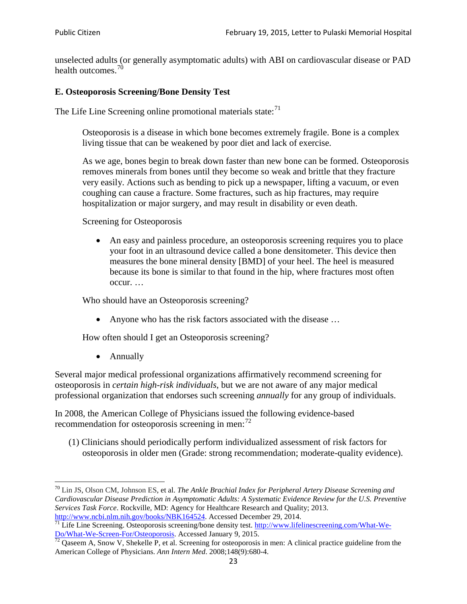unselected adults (or generally asymptomatic adults) with ABI on cardiovascular disease or PAD health outcomes.<sup>[70](#page-22-0)</sup>

## **E. Osteoporosis Screening/Bone Density Test**

The Life Line Screening online promotional materials state: $71$ 

Osteoporosis is a disease in which bone becomes extremely fragile. Bone is a complex living tissue that can be weakened by poor diet and lack of exercise.

As we age, bones begin to break down faster than new bone can be formed. Osteoporosis removes minerals from bones until they become so weak and brittle that they fracture very easily. Actions such as bending to pick up a newspaper, lifting a vacuum, or even coughing can cause a fracture. Some fractures, such as hip fractures, may require hospitalization or major surgery, and may result in disability or even death.

Screening for Osteoporosis

• An easy and painless procedure, an osteoporosis screening requires you to place your foot in an ultrasound device called a bone densitometer. This device then measures the bone mineral density [BMD] of your heel. The heel is measured because its bone is similar to that found in the hip, where fractures most often occur. …

Who should have an Osteoporosis screening?

• Anyone who has the risk factors associated with the disease ...

How often should I get an Osteoporosis screening?

• Annually

Several major medical professional organizations affirmatively recommend screening for osteoporosis in *certain high-risk individuals*, but we are not aware of any major medical professional organization that endorses such screening *annually* for any group of individuals.

In 2008, the American College of Physicians issued the following evidence-based recommendation for osteoporosis screening in men: $^{72}$  $^{72}$  $^{72}$ 

(1) Clinicians should periodically perform individualized assessment of risk factors for osteoporosis in older men (Grade: strong recommendation; moderate-quality evidence).

<span id="page-22-0"></span><sup>70</sup> [Lin JS,](http://www.ncbi.nlm.nih.gov/pubmed?term=Lin%20JS%5BAuthor%5D&cauthor=true&cauthor_uid=24156115) [Olson CM,](http://www.ncbi.nlm.nih.gov/pubmed?term=Olson%20CM%5BAuthor%5D&cauthor=true&cauthor_uid=24156115) [Johnson ES,](http://www.ncbi.nlm.nih.gov/pubmed?term=Johnson%20ES%5BAuthor%5D&cauthor=true&cauthor_uid=24156115) et al. *The Ankle Brachial Index for Peripheral Artery Disease Screening and Cardiovascular Disease Prediction in Asymptomatic Adults: A Systematic Evidence Review for the U.S. Preventive Services Task Force*. Rockville, MD: Agency for Healthcare Research and Quality; 2013.<br>http://www.ncbi.nlm.nih.gov/books/NBK164524. Accessed December 29, 2014.

<span id="page-22-1"></span> $\frac{1}{71}$  Life Line Screening. Osteoporosis screening/bone density test. [http://www.lifelinescreening.com/What-We-](http://www.lifelinescreening.com/What-We-Do/What-We-Screen-For/Osteoporosis)[Do/What-We-Screen-For/Osteoporosis.](http://www.lifelinescreening.com/What-We-Do/What-We-Screen-For/Osteoporosis) Accessed January 9, 2015. <sup>72</sup> Qaseem A, Snow V, Shekelle P, et al. Screening for osteoporosis in men: A clinical practice guideline from the

<span id="page-22-2"></span>American College of Physicians. *Ann Intern Med*. 2008;148(9):680-4.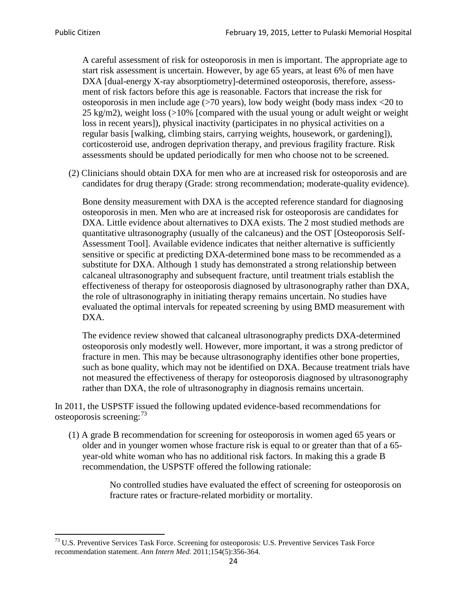A careful assessment of risk for osteoporosis in men is important. The appropriate age to start risk assessment is uncertain. However, by age 65 years, at least 6% of men have DXA [dual-energy X-ray absorptiometry]-determined osteoporosis, therefore, assessment of risk factors before this age is reasonable. Factors that increase the risk for osteoporosis in men include age (>70 years), low body weight (body mass index <20 to 25 kg/m2), weight loss (>10% [compared with the usual young or adult weight or weight loss in recent years]), physical inactivity (participates in no physical activities on a regular basis [walking, climbing stairs, carrying weights, housework, or gardening]), corticosteroid use, androgen deprivation therapy, and previous fragility fracture. Risk assessments should be updated periodically for men who choose not to be screened.

(2) Clinicians should obtain DXA for men who are at increased risk for osteoporosis and are candidates for drug therapy (Grade: strong recommendation; moderate-quality evidence).

Bone density measurement with DXA is the accepted reference standard for diagnosing osteoporosis in men. Men who are at increased risk for osteoporosis are candidates for DXA. Little evidence about alternatives to DXA exists. The 2 most studied methods are quantitative ultrasonography (usually of the calcaneus) and the OST [Osteoporosis Self-Assessment Tool]. Available evidence indicates that neither alternative is sufficiently sensitive or specific at predicting DXA-determined bone mass to be recommended as a substitute for DXA. Although 1 study has demonstrated a strong relationship between calcaneal ultrasonography and subsequent fracture, until treatment trials establish the effectiveness of therapy for osteoporosis diagnosed by ultrasonography rather than DXA, the role of ultrasonography in initiating therapy remains uncertain. No studies have evaluated the optimal intervals for repeated screening by using BMD measurement with DXA.

The evidence review showed that calcaneal ultrasonography predicts DXA-determined osteoporosis only modestly well. However, more important, it was a strong predictor of fracture in men. This may be because ultrasonography identifies other bone properties, such as bone quality, which may not be identified on DXA. Because treatment trials have not measured the effectiveness of therapy for osteoporosis diagnosed by ultrasonography rather than DXA, the role of ultrasonography in diagnosis remains uncertain.

In 2011, the USPSTF issued the following updated evidence-based recommendations for osteoporosis screening:<sup>[73](#page-23-0)</sup>

(1) A grade B recommendation for screening for osteoporosis in women aged 65 years or older and in younger women whose fracture risk is equal to or greater than that of a 65 year-old white woman who has no additional risk factors. In making this a grade B recommendation, the USPSTF offered the following rationale:

> No controlled studies have evaluated the effect of screening for osteoporosis on fracture rates or fracture-related morbidity or mortality.

<span id="page-23-0"></span><sup>&</sup>lt;sup>73</sup> U.S. Preventive Services Task Force. Screening for osteoporosis: U.S. Preventive Services Task Force recommendation statement. *Ann Intern Med*. 2011;154(5):356-364.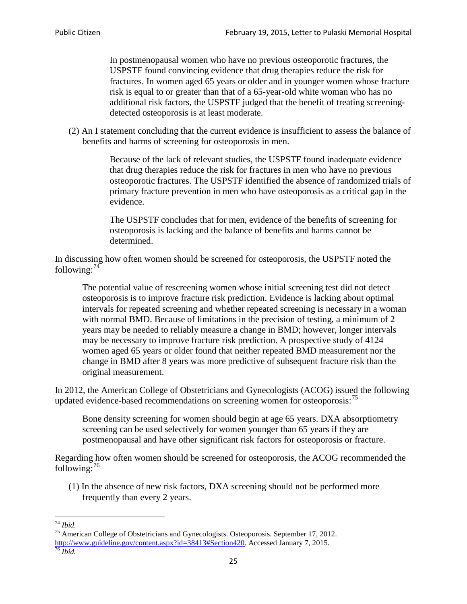In postmenopausal women who have no previous osteoporotic fractures, the USPSTF found convincing evidence that drug therapies reduce the risk for fractures. In women aged 65 years or older and in younger women whose fracture risk is equal to or greater than that of a 65-year-old white woman who has no additional risk factors, the USPSTF judged that the benefit of treating screeningdetected osteoporosis is at least moderate.

(2) An I statement concluding that the current evidence is insufficient to assess the balance of benefits and harms of screening for osteoporosis in men.

> Because of the lack of relevant studies, the USPSTF found inadequate evidence that drug therapies reduce the risk for fractures in men who have no previous osteoporotic fractures. The USPSTF identified the absence of randomized trials of primary fracture prevention in men who have osteoporosis as a critical gap in the evidence.

The USPSTF concludes that for men, evidence of the benefits of screening for osteoporosis is lacking and the balance of benefits and harms cannot be determined.

In discussing how often women should be screened for osteoporosis, the USPSTF noted the following: $74$ 

The potential value of rescreening women whose initial screening test did not detect osteoporosis is to improve fracture risk prediction. Evidence is lacking about optimal intervals for repeated screening and whether repeated screening is necessary in a woman with normal BMD. Because of limitations in the precision of testing, a minimum of 2 years may be needed to reliably measure a change in BMD; however, longer intervals may be necessary to improve fracture risk prediction. A prospective study of 4124 women aged 65 years or older found that neither repeated BMD measurement nor the change in BMD after 8 years was more predictive of subsequent fracture risk than the original measurement.

In 2012, the American College of Obstetricians and Gynecologists (ACOG) issued the following updated evidence-based recommendations on screening women for osteoporosis:<sup>[75](#page-24-1)</sup>

Bone density screening for women should begin at age 65 years. DXA absorptiometry screening can be used selectively for women younger than 65 years if they are postmenopausal and have other significant risk factors for osteoporosis or fracture.

Regarding how often women should be screened for osteoporosis, the ACOG recommended the following: $^{76}$  $^{76}$  $^{76}$ 

(1) In the absence of new risk factors, DXA screening should not be performed more frequently than every 2 years.

<span id="page-24-2"></span><span id="page-24-1"></span><span id="page-24-0"></span><sup>74</sup> *Ibid.* <sup>75</sup> American College of Obstetricians and Gynecologists. Osteoporosis. September 17, 2012. [http://www.guideline.gov/content.aspx?id=38413#Section420.](http://www.guideline.gov/content.aspx?id=38413#Section420) Accessed January 7, 2015.<br><sup>76</sup> *Ibid.*